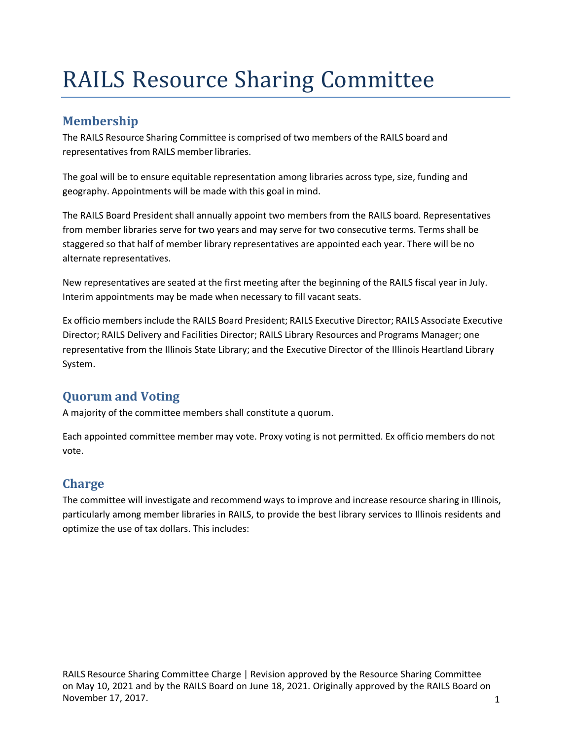# RAILS Resource Sharing Committee

#### **Membership**

The RAILS Resource Sharing Committee is comprised of two members of the RAILS board and representatives from RAILS memberlibraries.

The goal will be to ensure equitable representation among libraries across type, size, funding and geography. Appointments will be made with this goal in mind.

The RAILS Board President shall annually appoint two members from the RAILS board. Representatives from member libraries serve for two years and may serve for two consecutive terms. Terms shall be staggered so that half of member library representatives are appointed each year. There will be no alternate representatives.

New representatives are seated at the first meeting after the beginning of the RAILS fiscal year in July. Interim appointments may be made when necessary to fill vacant seats.

Ex officio members include the RAILS Board President; RAILS Executive Director; RAILS Associate Executive Director; RAILS Delivery and Facilities Director; RAILS Library Resources and Programs Manager; one representative from the Illinois State Library; and the Executive Director of the Illinois Heartland Library System.

## **Quorum and Voting**

A majority of the committee members shall constitute a quorum.

Each appointed committee member may vote. Proxy voting is not permitted. Ex officio members do not vote.

## **Charge**

The committee will investigate and recommend ways to improve and increase resource sharing in Illinois, particularly among member libraries in RAILS, to provide the best library services to Illinois residents and optimize the use of tax dollars. This includes: